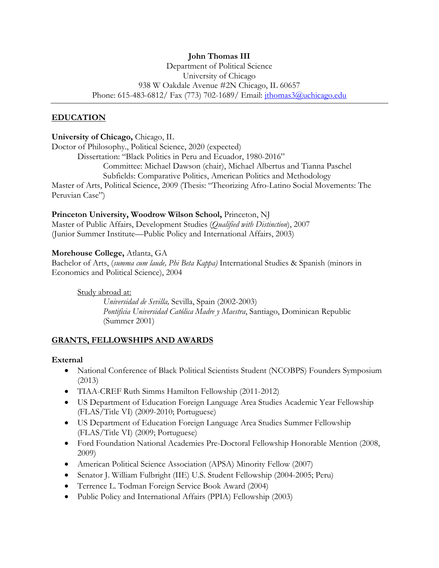# **John Thomas III**

Department of Political Science University of Chicago 938 W Oakdale Avenue #2N Chicago, IL 60657 Phone: 615-483-6812/ Fax (773) 702-1689/ Email: jthomas3@uchicago.edu

#### **EDUCATION**

#### **University of Chicago,** Chicago, IL

Doctor of Philosophy., Political Science, 2020 (expected) Dissertation: "Black Politics in Peru and Ecuador, 1980-2016" Committee: Michael Dawson (chair), Michael Albertus and Tianna Paschel Subfields: Comparative Politics, American Politics and Methodology Master of Arts, Political Science, 2009 (Thesis: "Theorizing Afro-Latino Social Movements: The Peruvian Case")

#### **Princeton University, Woodrow Wilson School,** Princeton, NJ

Master of Public Affairs, Development Studies (*Qualified with Distinction*), 2007 (Junior Summer Institute—Public Policy and International Affairs, 2003)

#### **Morehouse College,** Atlanta, GA

Bachelor of Arts, (*summa cum laude, Phi Beta Kappa)* International Studies & Spanish (minors in Economics and Political Science), 2004

#### Study abroad at:

*Universidad de Sevilla,* Sevilla, Spain (2002-2003) *Pontificia Universidad Católica Madre y Maestra*, Santiago, Dominican Republic (Summer 2001)

#### **GRANTS, FELLOWSHIPS AND AWARDS**

#### **External**

- National Conference of Black Political Scientists Student (NCOBPS) Founders Symposium (2013)
- TIAA-CREF Ruth Simms Hamilton Fellowship (2011-2012)
- US Department of Education Foreign Language Area Studies Academic Year Fellowship (FLAS/Title VI) (2009-2010; Portuguese)
- US Department of Education Foreign Language Area Studies Summer Fellowship (FLAS/Title VI) (2009; Portuguese)
- Ford Foundation National Academies Pre-Doctoral Fellowship Honorable Mention (2008, 2009)
- American Political Science Association (APSA) Minority Fellow (2007)
- Senator J. William Fulbright (IIE) U.S. Student Fellowship (2004-2005; Peru)
- Terrence L. Todman Foreign Service Book Award (2004)
- Public Policy and International Affairs (PPIA) Fellowship (2003)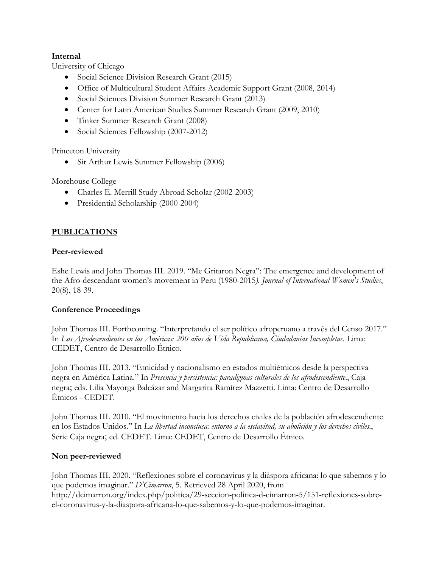### **Internal**

University of Chicago

- Social Science Division Research Grant (2015)
- Office of Multicultural Student Affairs Academic Support Grant (2008, 2014)
- Social Sciences Division Summer Research Grant (2013)
- Center for Latin American Studies Summer Research Grant (2009, 2010)
- Tinker Summer Research Grant (2008)
- Social Sciences Fellowship (2007-2012)

Princeton University

• Sir Arthur Lewis Summer Fellowship (2006)

Morehouse College

- Charles E. Merrill Study Abroad Scholar (2002-2003)
- Presidential Scholarship (2000-2004)

## **PUBLICATIONS**

### **Peer-reviewed**

Eshe Lewis and John Thomas III. 2019. "Me Gritaron Negra": The emergence and development of the Afro-descendant women's movement in Peru (1980-2015*). Journal of International Women's Studies*, 20(8), 18-39.

## **Conference Proceedings**

John Thomas III. Forthcoming. "Interpretando el ser político afroperuano a través del Censo 2017." In *Los Afrodescendientes en las Américas: 200 años de Vida Republicana, Ciudadanías Incompletas*. Lima: CEDET, Centro de Desarrollo Étnico.

John Thomas III. 2013. "Etnicidad y nacionalismo en estados multiétnicos desde la perspectiva negra en América Latina." In *Presencia y persistencia: paradigmas culturales de los afrodescendiente*., Caja negra; eds. Lilia Mayorga Balcázar and Margarita Ramírez Mazzetti. Lima: Centro de Desarrollo Étnicos - CEDET.

John Thomas III. 2010. "El movimiento hacia los derechos civiles de la población afrodescendiente en los Estados Unidos." In *La libertad inconclusa: entorno a la esclavitud, su abolición y los derechos civiles*., Serie Caja negra; ed. CEDET. Lima: CEDET, Centro de Desarrollo Étnico.

## **Non peer-reviewed**

John Thomas III. 2020. "Reflexiones sobre el coronavirus y la diáspora africana: lo que sabemos y lo que podemos imaginar." *D'Cimarron*, 5. Retrieved 28 April 2020, from http://dcimarron.org/index.php/politica/29-seccion-politica-d-cimarron-5/151-reflexiones-sobreel-coronavirus-y-la-diaspora-africana-lo-que-sabemos-y-lo-que-podemos-imaginar.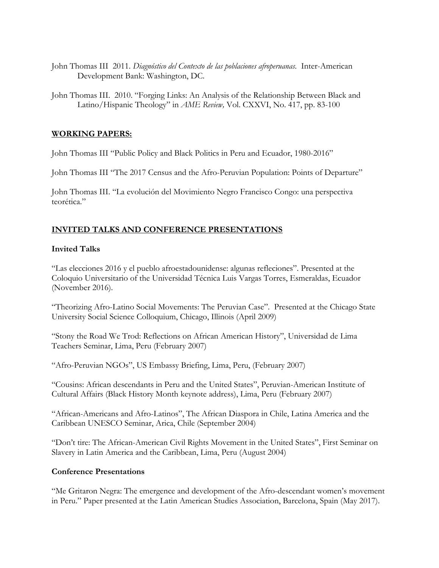- John Thomas III 2011. *Diagnóstico del Contexto de las poblaciones afroperuanas*. Inter-American Development Bank: Washington, DC.
- John Thomas III. 2010. "Forging Links: An Analysis of the Relationship Between Black and Latino/Hispanic Theology" in *AME Review,* Vol. CXXVI, No. 417, pp. 83-100

### **WORKING PAPERS:**

John Thomas III "Public Policy and Black Politics in Peru and Ecuador, 1980-2016"

John Thomas III "The 2017 Census and the Afro-Peruvian Population: Points of Departure"

John Thomas III. "La evolución del Movimiento Negro Francisco Congo: una perspectiva teorética."

## **INVITED TALKS AND CONFERENCE PRESENTATIONS**

### **Invited Talks**

"Las elecciones 2016 y el pueblo afroestadounidense: algunas refleciones". Presented at the Coloquio Universitario of the Universidad Técnica Luis Vargas Torres, Esmeraldas, Ecuador (November 2016).

"Theorizing Afro-Latino Social Movements: The Peruvian Case". Presented at the Chicago State University Social Science Colloquium, Chicago, Illinois (April 2009)

"Stony the Road We Trod: Reflections on African American History", Universidad de Lima Teachers Seminar, Lima, Peru (February 2007)

"Afro-Peruvian NGOs", US Embassy Briefing, Lima, Peru, (February 2007)

"Cousins: African descendants in Peru and the United States", Peruvian-American Institute of Cultural Affairs (Black History Month keynote address), Lima, Peru (February 2007)

"African-Americans and Afro-Latinos", The African Diaspora in Chile, Latina America and the Caribbean UNESCO Seminar, Arica, Chile (September 2004)

"Don't tire: The African-American Civil Rights Movement in the United States", First Seminar on Slavery in Latin America and the Caribbean, Lima, Peru (August 2004)

## **Conference Presentations**

"Me Gritaron Negra: The emergence and development of the Afro-descendant women's movement in Peru." Paper presented at the Latin American Studies Association, Barcelona, Spain (May 2017).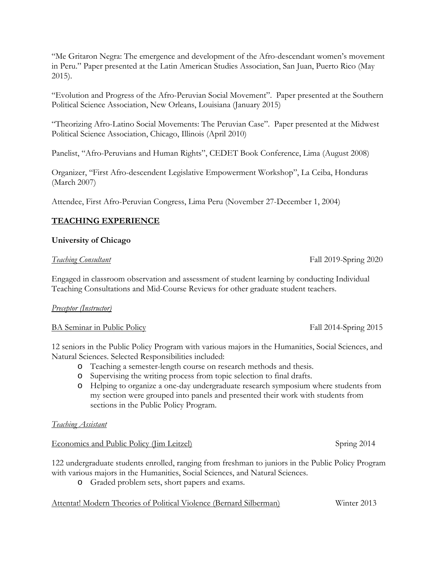"Me Gritaron Negra: The emergence and development of the Afro-descendant women's movement in Peru." Paper presented at the Latin American Studies Association, San Juan, Puerto Rico (May 2015).

"Evolution and Progress of the Afro-Peruvian Social Movement". Paper presented at the Southern Political Science Association, New Orleans, Louisiana (January 2015)

"Theorizing Afro-Latino Social Movements: The Peruvian Case". Paper presented at the Midwest Political Science Association, Chicago, Illinois (April 2010)

Panelist, "Afro-Peruvians and Human Rights", CEDET Book Conference, Lima (August 2008)

Organizer, "First Afro-descendent Legislative Empowerment Workshop", La Ceiba, Honduras (March 2007)

Attendee, First Afro-Peruvian Congress, Lima Peru (November 27-December 1, 2004)

## **TEACHING EXPERIENCE**

### **University of Chicago**

#### *Teaching Consultant* Fall 2019-Spring 2020

Engaged in classroom observation and assessment of student learning by conducting Individual Teaching Consultations and Mid-Course Reviews for other graduate student teachers.

#### *Preceptor (Instructor)*

#### BA Seminar in Public Policy Fall 2014-Spring 2015

12 seniors in the Public Policy Program with various majors in the Humanities, Social Sciences, and Natural Sciences. Selected Responsibilities included:

- o Teaching a semester-length course on research methods and thesis.
- o Supervising the writing process from topic selection to final drafts.
- o Helping to organize a one-day undergraduate research symposium where students from my section were grouped into panels and presented their work with students from sections in the Public Policy Program.

#### *Teaching Assistant*

#### Economics and Public Policy (Jim Leitzel) Spring 2014

122 undergraduate students enrolled, ranging from freshman to juniors in the Public Policy Program with various majors in the Humanities, Social Sciences, and Natural Sciences.

o Graded problem sets, short papers and exams.

Attentat! Modern Theories of Political Violence (Bernard Silberman) Winter 2013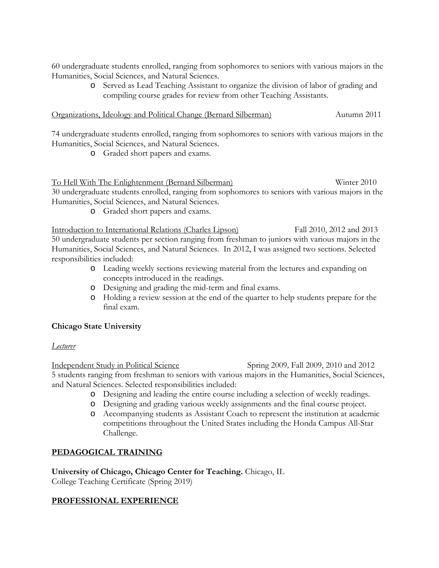60 undergraduate students enrolled, ranging from sophomores to seniors with various majors in the Humanities, Social Sciences, and Natural Sciences.

> o Served as Lead Teaching Assistant to organize the division of labor of grading and compiling course grades for review from other Teaching Assistants.

#### Organizations, Ideology and Political Change (Bernard Silberman) Autumn 2011

74 undergraduate students enrolled, ranging from sophomores to seniors with various majors in the Humanities, Social Sciences, and Natural Sciences.

o Graded short papers and exams.

## To Hell With The Enlightenment (Bernard Silberman) Winter 2010

30 undergraduate students enrolled, ranging from sophomores to seniors with various majors in the Humanities, Social Sciences, and Natural Sciences.

o Graded short papers and exams.

Introduction to International Relations (Charles Lipson) Fall 2010, 2012 and 2013 50 undergraduate students per section ranging from freshman to juniors with various majors in the Humanities, Social Sciences, and Natural Sciences. In 2012, I was assigned two sections. Selected responsibilities included:

- o Leading weekly sections reviewing material from the lectures and expanding on concepts introduced in the readings.
- o Designing and grading the mid-term and final exams.
- o Holding a review session at the end of the quarter to help students prepare for the final exam.

## **Chicago State University**

*Lecturer*

Independent Study in Political Science Spring 2009*,* Fall 2009, 2010 and 2012 5 students ranging from freshman to seniors with various majors in the Humanities, Social Sciences, and Natural Sciences. Selected responsibilities included:

- o Designing and leading the entire course including a selection of weekly readings.
- o Designing and grading various weekly assignments and the final course project.
- o Accompanying students as Assistant Coach to represent the institution at academic competitions throughout the United States including the Honda Campus All-Star Challenge.

## **PEDAGOGICAL TRAINING**

**University of Chicago, Chicago Center for Teaching.** Chicago, IL

College Teaching Certificate (Spring 2019)

## **PROFESSIONAL EXPERIENCE**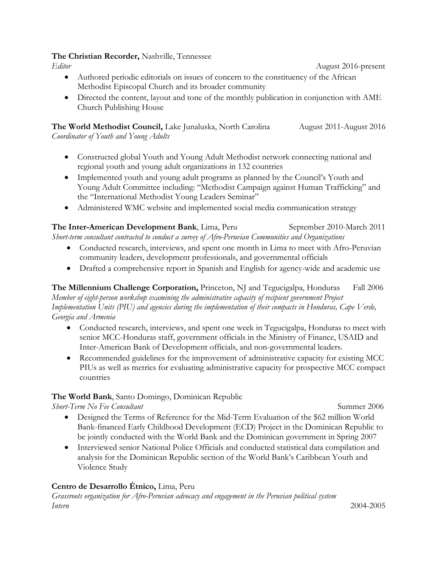#### **The Christian Recorder,** Nashville, Tennessee

*Editor* August 2016-present

- Authored periodic editorials on issues of concern to the constituency of the African Methodist Episcopal Church and its broader community
- Directed the content, layout and tone of the monthly publication in conjunction with AME Church Publishing House

**The World Methodist Council,** Lake Junaluska, North Carolina August 2011-August 2016 *Coordinator of Youth and Young Adults*

- Constructed global Youth and Young Adult Methodist network connecting national and regional youth and young adult organizations in 132 countries
- Implemented youth and young adult programs as planned by the Council's Youth and Young Adult Committee including: "Methodist Campaign against Human Trafficking" and the "International Methodist Young Leaders Seminar"
- Administered WMC website and implemented social media communication strategy

**The Inter-American Development Bank**, Lima, Peru September 2010-March 2011 *Short-term consultant contracted to conduct a survey of Afro-Peruvian Communities and Organizations* 

- Conducted research, interviews, and spent one month in Lima to meet with Afro-Peruvian community leaders, development professionals, and governmental officials
- Drafted a comprehensive report in Spanish and English for agency-wide and academic use

The Millennium Challenge Corporation, Princeton, NJ and Tegucigalpa, Honduras Fall 2006 *Member of eight-person workshop examining the administrative capacity of recipient government Project Implementation Units (PIU) and agencies during the implementation of their compacts in Honduras, Cape Verde, Georgia and Armenia* 

- Conducted research, interviews, and spent one week in Tegucigalpa, Honduras to meet with senior MCC-Honduras staff, government officials in the Ministry of Finance, USAID and Inter-American Bank of Development officials, and non-governmental leaders.
- Recommended guidelines for the improvement of administrative capacity for existing MCC PIUs as well as metrics for evaluating administrative capacity for prospective MCC compact countries

## **The World Bank**, Santo Domingo, Dominican Republic

*Short-Term No Fee Consultant* **Summer 2006** Summer 2006

- Designed the Terms of Reference for the Mid-Term Evaluation of the \$62 million World Bank-financed Early Childhood Development (ECD) Project in the Dominican Republic to be jointly conducted with the World Bank and the Dominican government in Spring 2007
- Interviewed senior National Police Officials and conducted statistical data compilation and analysis for the Dominican Republic section of the World Bank's Caribbean Youth and Violence Study

## **Centro de Desarrollo Étnico,** Lima, Peru

*Grassroots organization for Afro-Peruvian advocacy and engagement in the Peruvian political system Intern* 2004-2005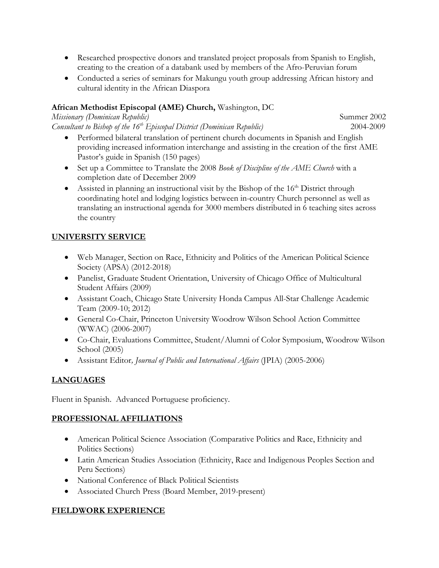- Researched prospective donors and translated project proposals from Spanish to English, creating to the creation of a databank used by members of the Afro-Peruvian forum
- Conducted a series of seminars for Makungu youth group addressing African history and cultural identity in the African Diaspora

## **African Methodist Episcopal (AME) Church,** Washington, DC

*Missionary (Dominican Republic)*  $\frac{1}{2}$  Summer 2002 *Consultant to Bishop of the 16th Episcopal District (Dominican Republic)* 2004-2009

- Performed bilateral translation of pertinent church documents in Spanish and English providing increased information interchange and assisting in the creation of the first AME Pastor's guide in Spanish (150 pages)
- Set up a Committee to Translate the 2008 *Book of Discipline of the AME Church* with a completion date of December 2009
- Assisted in planning an instructional visit by the Bishop of the  $16<sup>th</sup>$  District through coordinating hotel and lodging logistics between in-country Church personnel as well as translating an instructional agenda for 3000 members distributed in 6 teaching sites across the country

# **UNIVERSITY SERVICE**

- Web Manager, Section on Race, Ethnicity and Politics of the American Political Science Society (APSA) (2012-2018)
- Panelist, Graduate Student Orientation, University of Chicago Office of Multicultural Student Affairs (2009)
- Assistant Coach, Chicago State University Honda Campus All-Star Challenge Academic Team (2009-10; 2012)
- General Co-Chair, Princeton University Woodrow Wilson School Action Committee (WWAC) (2006-2007)
- Co-Chair, Evaluations Committee, Student/Alumni of Color Symposium, Woodrow Wilson School (2005)
- Assistant Editor*, Journal of Public and International Affairs* (JPIA) (2005-2006)

# **LANGUAGES**

Fluent in Spanish. Advanced Portuguese proficiency.

## **PROFESSIONAL AFFILIATIONS**

- American Political Science Association (Comparative Politics and Race, Ethnicity and Politics Sections)
- Latin American Studies Association (Ethnicity, Race and Indigenous Peoples Section and Peru Sections)
- National Conference of Black Political Scientists
- Associated Church Press (Board Member, 2019-present)

## **FIELDWORK EXPERIENCE**